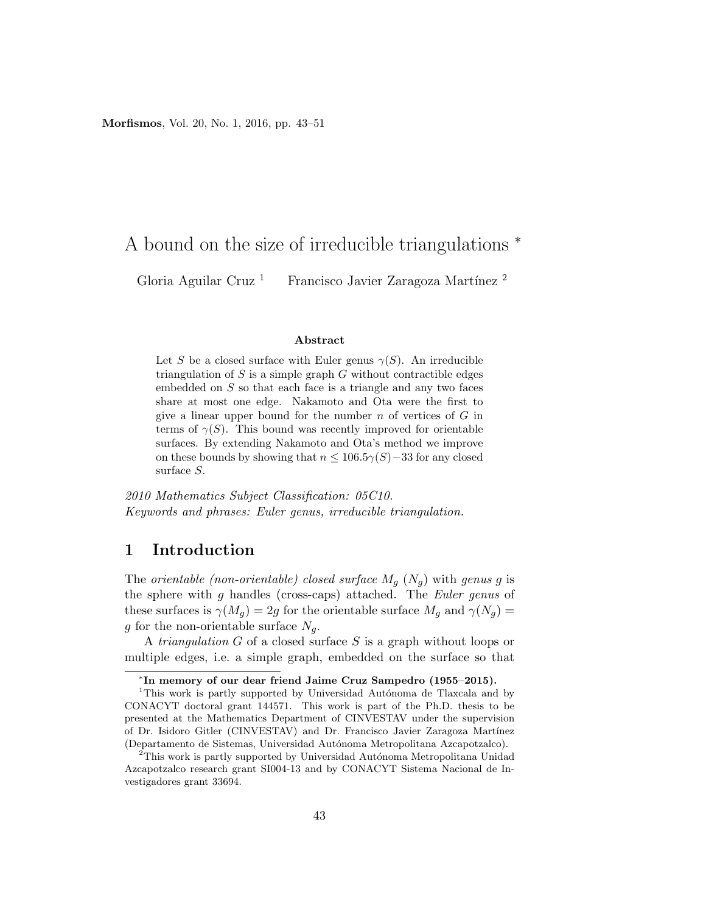Morfismos, Vol. 20, No. 1, 2016, pp. 43–51

# A bound on the size of irreducible triangulations <sup>∗</sup>

Gloria Aguilar Cruz<sup>1</sup> Francisco Javier Zaragoza Martínez <sup>2</sup>

#### Abstract

Let S be a closed surface with Euler genus  $\gamma(S)$ . An irreducible triangulation of  $S$  is a simple graph  $G$  without contractible edges embedded on S so that each face is a triangle and any two faces share at most one edge. Nakamoto and Ota were the first to give a linear upper bound for the number  $n$  of vertices of  $G$  in terms of  $\gamma(S)$ . This bound was recently improved for orientable surfaces. By extending Nakamoto and Ota's method we improve on these bounds by showing that  $n \leq 106.5\gamma(S)-33$  for any closed surface S.

2010 Mathematics Subject Classification: 05C10. Keywords and phrases: Euler genus, irreducible triangulation.

#### 1 Introduction

The orientable (non-orientable) closed surface  $M_q$  ( $N_q$ ) with genus g is the sphere with g handles (cross-caps) attached. The Euler genus of these surfaces is  $\gamma(M_q) = 2g$  for the orientable surface  $M_q$  and  $\gamma(N_q) =$ g for the non-orientable surface  $N_a$ .

A triangulation G of a closed surface S is a graph without loops or multiple edges, i.e. a simple graph, embedded on the surface so that

<sup>∗</sup> In memory of our dear friend Jaime Cruz Sampedro (1955–2015).

<sup>&</sup>lt;sup>1</sup>This work is partly supported by Universidad Autónoma de Tlaxcala and by CONACYT doctoral grant 144571. This work is part of the Ph.D. thesis to be presented at the Mathematics Department of CINVESTAV under the supervision of Dr. Isidoro Gitler (CINVESTAV) and Dr. Francisco Javier Zaragoza Martínez (Departamento de Sistemas, Universidad Autónoma Metropolitana Azcapotzalco).

 $^{2}$ This work is partly supported by Universidad Autónoma Metropolitana Unidad Azcapotzalco research grant SI004-13 and by CONACYT Sistema Nacional de Investigadores grant 33694.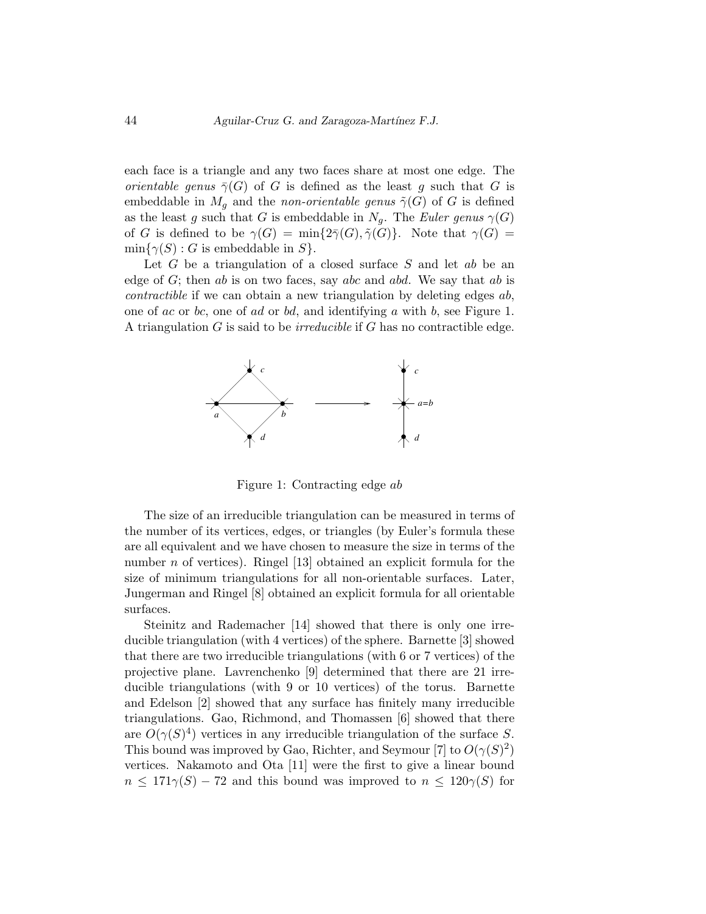each face is a triangle and any two faces share at most one edge. The *orientable genus*  $\bar{\gamma}(G)$  of G is defined as the least g such that G is embeddable in  $M_q$  and the non-orientable genus  $\tilde{\gamma}(G)$  of G is defined as the least g such that G is embeddable in  $N_q$ . The Euler genus  $\gamma(G)$ of G is defined to be  $\gamma(G) = \min\{2\overline{\gamma}(G), \tilde{\gamma}(G)\}\$ . Note that  $\gamma(G) =$  $\min\{\gamma(S): G$  is embeddable in  $S$ .

Let  $G$  be a triangulation of a closed surface  $S$  and let  $ab$  be an edge of  $G$ ; then ab is on two faces, say abc and abd. We say that ab is contractible if we can obtain a new triangulation by deleting edges ab, one of ac or bc, one of ad or bd, and identifying a with b, see Figure 1. A triangulation  $G$  is said to be *irreducible* if  $G$  has no contractible edge.



Figure 1: Contracting edge ab

The size of an irreducible triangulation can be measured in terms of the number of its vertices, edges, or triangles (by Euler's formula these are all equivalent and we have chosen to measure the size in terms of the number *n* of vertices). Ringel [13] obtained an explicit formula for the size of minimum triangulations for all non-orientable surfaces. Later, Jungerman and Ringel [8] obtained an explicit formula for all orientable surfaces.

Steinitz and Rademacher [14] showed that there is only one irreducible triangulation (with 4 vertices) of the sphere. Barnette [3] showed that there are two irreducible triangulations (with 6 or 7 vertices) of the projective plane. Lavrenchenko [9] determined that there are 21 irreducible triangulations (with 9 or 10 vertices) of the torus. Barnette and Edelson [2] showed that any surface has finitely many irreducible triangulations. Gao, Richmond, and Thomassen [6] showed that there are  $O(\gamma(S)^4)$  vertices in any irreducible triangulation of the surface S. This bound was improved by Gao, Richter, and Seymour [7] to  $O(\gamma(S)^2)$ vertices. Nakamoto and Ota [11] were the first to give a linear bound  $n \leq 171\gamma(S) - 72$  and this bound was improved to  $n \leq 120\gamma(S)$  for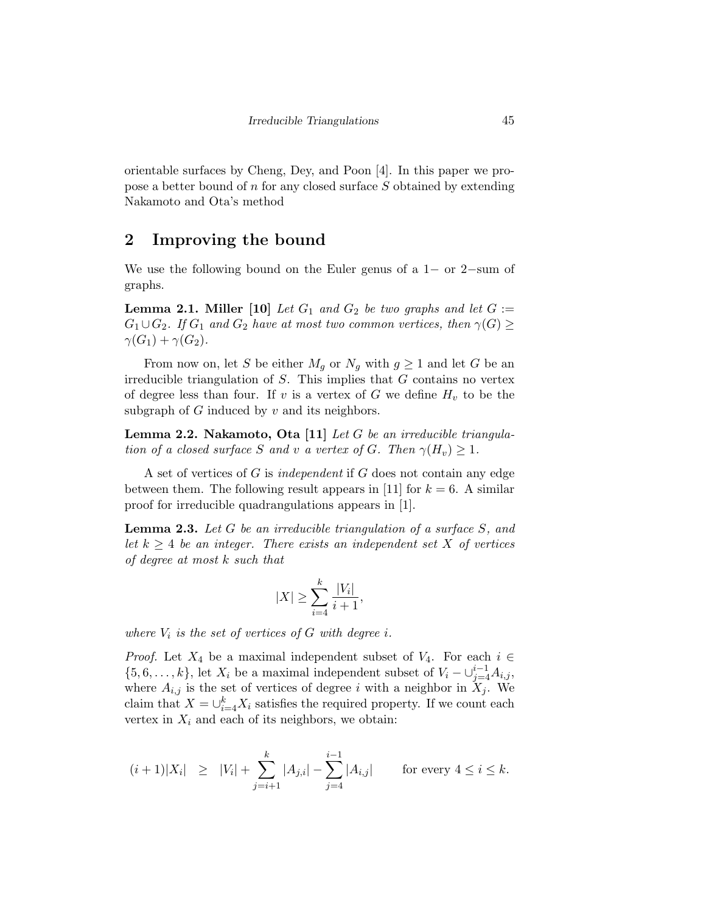orientable surfaces by Cheng, Dey, and Poon [4]. In this paper we propose a better bound of n for any closed surface S obtained by extending Nakamoto and Ota's method

### 2 Improving the bound

We use the following bound on the Euler genus of a 1− or 2−sum of graphs.

**Lemma 2.1. Miller** [10] Let  $G_1$  and  $G_2$  be two graphs and let  $G :=$  $G_1 \cup G_2$ . If  $G_1$  and  $G_2$  have at most two common vertices, then  $\gamma(G) \geq$  $\gamma(G_1) + \gamma(G_2)$ .

From now on, let S be either  $M_q$  or  $N_q$  with  $g \geq 1$  and let G be an irreducible triangulation of  $S$ . This implies that  $G$  contains no vertex of degree less than four. If v is a vertex of G we define  $H_v$  to be the subgraph of  $G$  induced by  $v$  and its neighbors.

Lemma 2.2. Nakamoto, Ota [11] Let G be an irreducible triangulation of a closed surface S and v a vertex of G. Then  $\gamma(H_v) \geq 1$ .

A set of vertices of G is independent if G does not contain any edge between them. The following result appears in [11] for  $k = 6$ . A similar proof for irreducible quadrangulations appears in [1].

**Lemma 2.3.** Let  $G$  be an irreducible triangulation of a surface  $S$ , and let  $k \geq 4$  be an integer. There exists an independent set X of vertices of degree at most k such that

$$
|X|\geq \sum_{i=4}^k\frac{|V_i|}{i+1},
$$

where  $V_i$  is the set of vertices of G with degree i.

*Proof.* Let  $X_4$  be a maximal independent subset of  $V_4$ . For each  $i \in$  $\{5, 6, \ldots, k\}$ , let  $X_i$  be a maximal independent subset of  $V_i - \bigcup_{j=4}^{i-1} A_{i,j}$ , where  $A_{i,j}$  is the set of vertices of degree i with a neighbor in  $X_j$ . We claim that  $X = \bigcup_{i=4}^{k} X_i$  satisfies the required property. If we count each vertex in  $X_i$  and each of its neighbors, we obtain:

$$
(i+1)|X_i| \geq |V_i| + \sum_{j=i+1}^k |A_{j,i}| - \sum_{j=4}^{i-1} |A_{i,j}| \quad \text{for every } 4 \leq i \leq k.
$$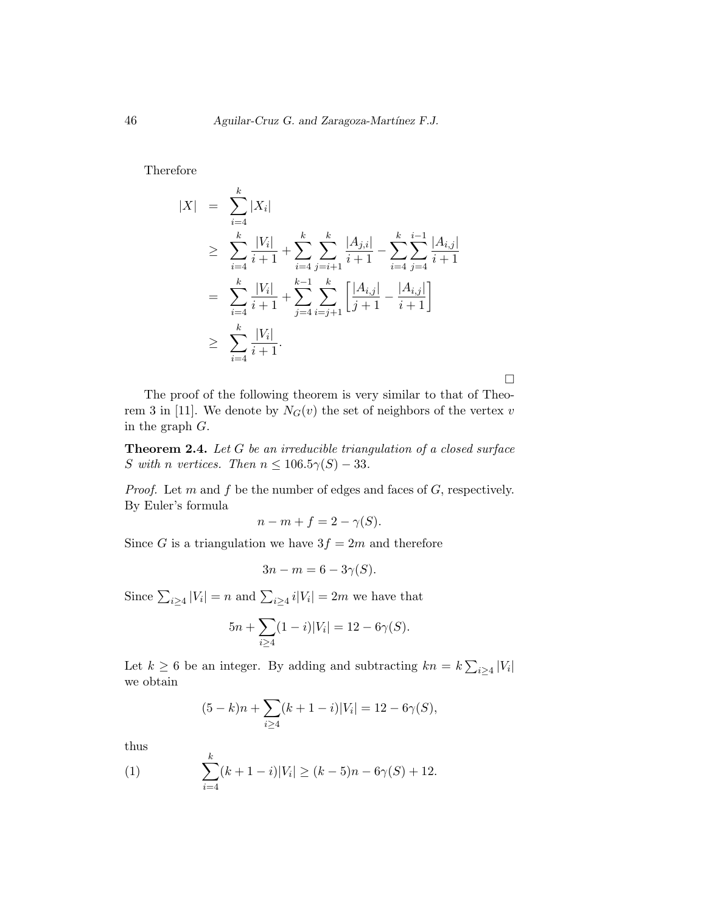Therefore

$$
|X| = \sum_{i=4}^{k} |X_i|
$$
  
\n
$$
\geq \sum_{i=4}^{k} \frac{|V_i|}{i+1} + \sum_{i=4}^{k} \sum_{j=i+1}^{k} \frac{|A_{j,i}|}{i+1} - \sum_{i=4}^{k} \sum_{j=4}^{i-1} \frac{|A_{i,j}|}{i+1}
$$
  
\n
$$
= \sum_{i=4}^{k} \frac{|V_i|}{i+1} + \sum_{j=4}^{k-1} \sum_{i=j+1}^{k} \left[ \frac{|A_{i,j}|}{j+1} - \frac{|A_{i,j}|}{i+1} \right]
$$
  
\n
$$
\geq \sum_{i=4}^{k} \frac{|V_i|}{i+1}.
$$

 $\Box$ 

The proof of the following theorem is very similar to that of Theorem 3 in [11]. We denote by  $N_G(v)$  the set of neighbors of the vertex v in the graph G.

Theorem 2.4. Let G be an irreducible triangulation of a closed surface S with n vertices. Then  $n \leq 106.5\gamma(S) - 33$ .

*Proof.* Let m and f be the number of edges and faces of  $G$ , respectively. By Euler's formula

$$
n - m + f = 2 - \gamma(S).
$$

Since G is a triangulation we have  $3f = 2m$  and therefore

$$
3n - m = 6 - 3\gamma(S).
$$

Since  $\sum_{i\geq 4} |V_i| = n$  and  $\sum_{i\geq 4} i|V_i| = 2m$  we have that

$$
5n + \sum_{i \ge 4} (1 - i)|V_i| = 12 - 6\gamma(S).
$$

Let  $k \geq 6$  be an integer. By adding and subtracting  $kn = k \sum_{i \geq 4} |V_i|$ we obtain

$$
(5-k)n + \sum_{i \ge 4} (k+1-i)|V_i| = 12 - 6\gamma(S),
$$

thus

(1) 
$$
\sum_{i=4}^{k} (k+1-i)|V_i| \ge (k-5)n - 6\gamma(S) + 12.
$$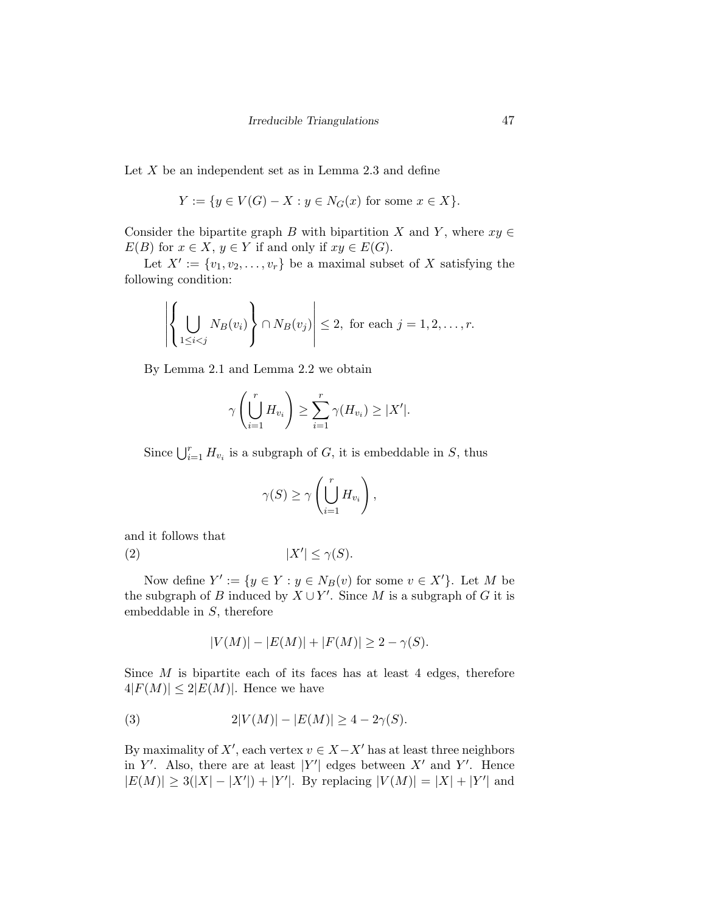Let  $X$  be an independent set as in Lemma 2.3 and define

$$
Y := \{ y \in V(G) - X : y \in N_G(x) \text{ for some } x \in X \}.
$$

Consider the bipartite graph B with bipartition X and Y, where  $xy \in$  $E(B)$  for  $x \in X$ ,  $y \in Y$  if and only if  $xy \in E(G)$ .

Let  $X' := \{v_1, v_2, \ldots, v_r\}$  be a maximal subset of X satisfying the following condition:

$$
\left| \left\{ \bigcup_{1 \leq i < j} N_B(v_i) \right\} \cap N_B(v_j) \right| \leq 2, \text{ for each } j = 1, 2, \dots, r.
$$

By Lemma 2.1 and Lemma 2.2 we obtain

$$
\gamma\left(\bigcup_{i=1}^r H_{v_i}\right) \ge \sum_{i=1}^r \gamma(H_{v_i}) \ge |X'|.
$$

Since  $\bigcup_{i=1}^r H_{v_i}$  is a subgraph of G, it is embeddable in S, thus

$$
\gamma(S) \ge \gamma\left(\bigcup_{i=1}^r H_{v_i}\right),\,
$$

and it follows that

$$
(2) \t\t |X'| \le \gamma(S).
$$

Now define  $Y' := \{ y \in Y : y \in N_B(v) \text{ for some } v \in X' \}.$  Let M be the subgraph of B induced by  $X \cup Y'$ . Since M is a subgraph of G it is embeddable in S, therefore

$$
|V(M)| - |E(M)| + |F(M)| \ge 2 - \gamma(S).
$$

Since  $M$  is bipartite each of its faces has at least 4 edges, therefore  $4|F(M)| \leq 2|E(M)|$ . Hence we have

(3) 
$$
2|V(M)| - |E(M)| \ge 4 - 2\gamma(S).
$$

By maximality of  $X'$ , each vertex  $v \in X - X'$  has at least three neighbors in Y'. Also, there are at least |Y'| edges between  $X'$  and Y'. Hence  $|E(M)| \ge 3(|X| - |X'|) + |Y'|$ . By replacing  $|V(M)| = |X| + |Y'|$  and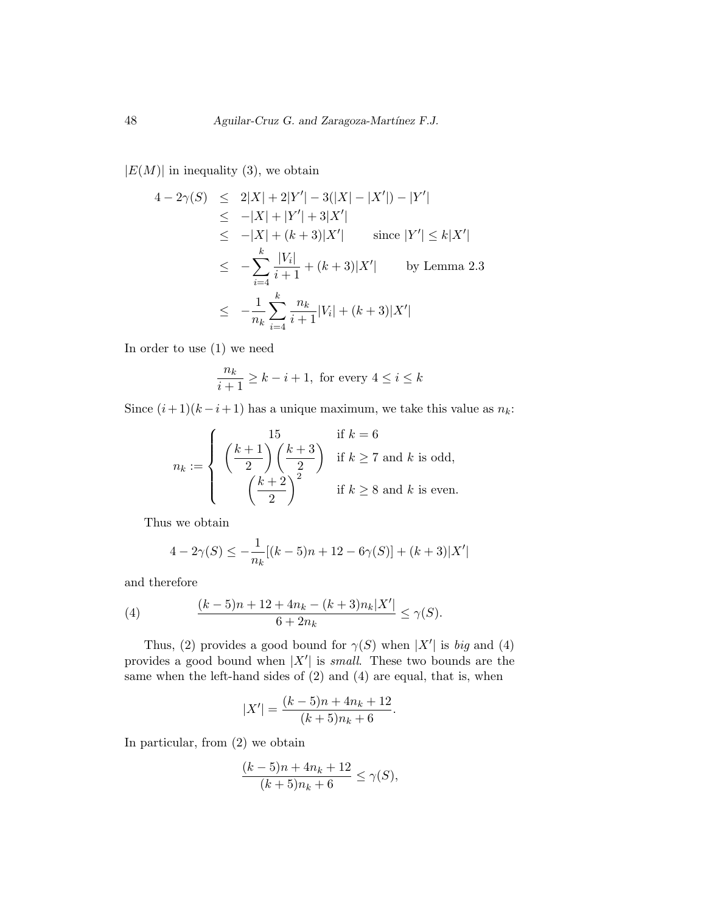$|E(M)|$  in inequality (3), we obtain

$$
4 - 2\gamma(S) \leq 2|X| + 2|Y'| - 3(|X| - |X'|) - |Y'|
$$
  
\n
$$
\leq -|X| + |Y'| + 3|X'|
$$
  
\n
$$
\leq -|X| + (k+3)|X'|
$$
 since  $|Y'| \leq k|X'|$   
\n
$$
\leq -\sum_{i=4}^{k} \frac{|V_i|}{i+1} + (k+3)|X'|
$$
 by Lemma 2.3  
\n
$$
\leq -\frac{1}{n_k} \sum_{i=4}^{k} \frac{n_k}{i+1}|V_i| + (k+3)|X'|
$$

In order to use (1) we need

$$
\frac{n_k}{i+1} \ge k - i + 1
$$
, for every  $4 \le i \le k$ 

Since  $(i+1)(k-i+1)$  has a unique maximum, we take this value as  $n_k$ :

$$
n_k := \begin{cases} \left(\frac{k+1}{2}\right) \left(\frac{k+3}{2}\right) & \text{if } k \ge 7 \text{ and } k \text{ is odd,} \\ \left(\frac{k+2}{2}\right)^2 & \text{if } k \ge 8 \text{ and } k \text{ is even.} \end{cases}
$$

Thus we obtain

$$
4 - 2\gamma(S) \le -\frac{1}{n_k} [(k-5)n + 12 - 6\gamma(S)] + (k+3)|X'|
$$

and therefore

(4) 
$$
\frac{(k-5)n+12+4n_k-(k+3)n_k|X'|}{6+2n_k} \leq \gamma(S).
$$

Thus, (2) provides a good bound for  $\gamma(S)$  when  $|X'|$  is big and (4) provides a good bound when  $|X'|$  is *small*. These two bounds are the same when the left-hand sides of (2) and (4) are equal, that is, when

$$
|X'| = \frac{(k-5)n + 4n_k + 12}{(k+5)n_k + 6}.
$$

In particular, from (2) we obtain

$$
\frac{(k-5)n + 4n_k + 12}{(k+5)n_k + 6} \le \gamma(S),
$$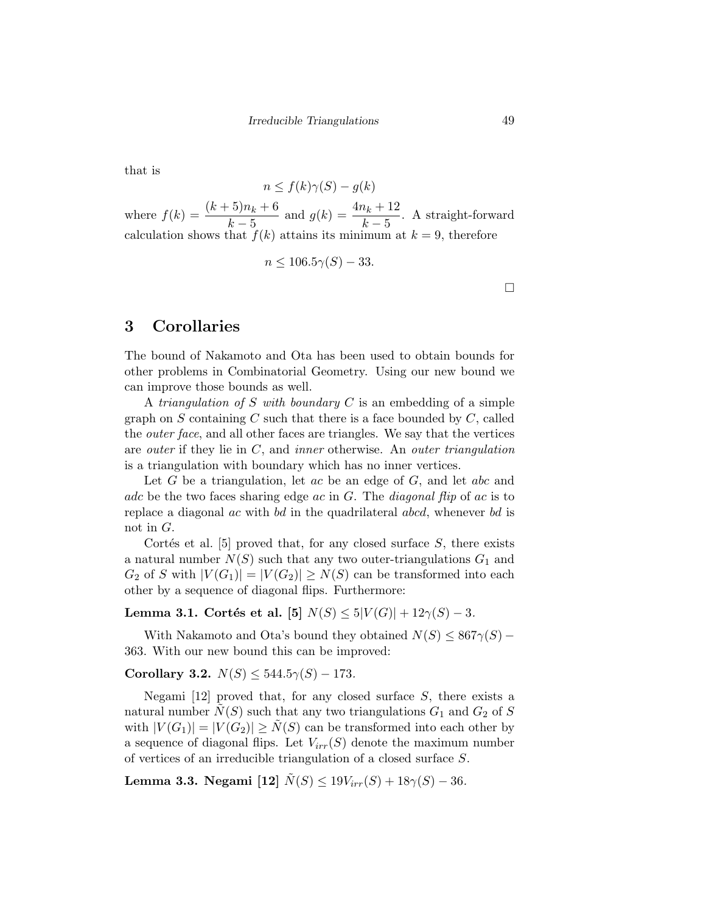that is

 $n \leq f(k)\gamma(S) - g(k)$ where  $f(k) = \frac{(k+5)n_k + 6}{k-5}$  and  $g(k) = \frac{4n_k + 12}{k-5}$ . A straight-forward calculation shows that  $f(k)$  attains its minimum at  $k = 9$ , therefore

$$
n \le 106.5\gamma(S) - 33.
$$

 $\Box$ 

### 3 Corollaries

The bound of Nakamoto and Ota has been used to obtain bounds for other problems in Combinatorial Geometry. Using our new bound we can improve those bounds as well.

A triangulation of S with boundary  $C$  is an embedding of a simple graph on  $S$  containing  $C$  such that there is a face bounded by  $C$ , called the *outer face*, and all other faces are triangles. We say that the vertices are *outer* if they lie in  $C$ , and *inner* otherwise. An *outer triangulation* is a triangulation with boundary which has no inner vertices.

Let  $G$  be a triangulation, let  $ac$  be an edge of  $G$ , and let  $abc$  and adc be the two faces sharing edge ac in  $G$ . The *diagonal flip* of ac is to replace a diagonal ac with bd in the quadrilateral abcd, whenever bd is not in G.

Cortés et al. [5] proved that, for any closed surface  $S$ , there exists a natural number  $N(S)$  such that any two outer-triangulations  $G_1$  and  $G_2$  of S with  $|V(G_1)| = |V(G_2)| \ge N(S)$  can be transformed into each other by a sequence of diagonal flips. Furthermore:

Lemma 3.1. Cortés et al. [5]  $N(S) \le 5|V(G)| + 12\gamma(S) - 3$ .

With Nakamoto and Ota's bound they obtained  $N(S) \leq 867\gamma(S) -$ 363. With our new bound this can be improved:

#### Corollary 3.2.  $N(S) \leq 544.5\gamma(S) - 173.$

Negami  $[12]$  proved that, for any closed surface S, there exists a natural number  $N(S)$  such that any two triangulations  $G_1$  and  $G_2$  of S with  $|V(G_1)| = |V(G_2)| \ge N(S)$  can be transformed into each other by a sequence of diagonal flips. Let  $V_{irr}(S)$  denote the maximum number of vertices of an irreducible triangulation of a closed surface S.

Lemma 3.3. Negami [12]  $\tilde{N}(S) \le 19V_{irr}(S) + 18\gamma(S) - 36$ .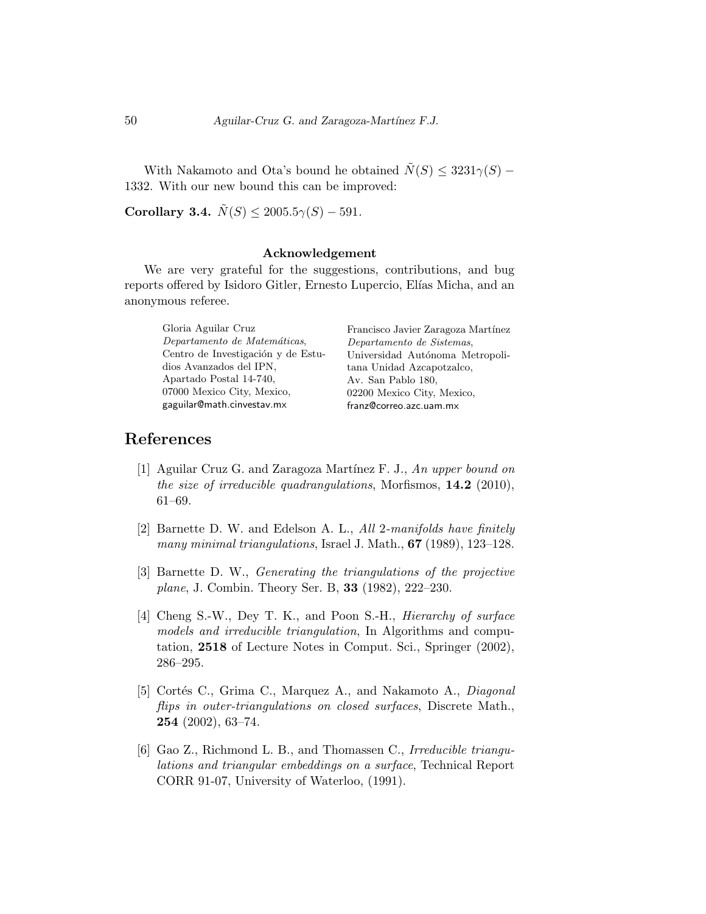With Nakamoto and Ota's bound he obtained  $\tilde{N}(S) \leq 3231 \gamma(S)$  – 1332. With our new bound this can be improved:

Corollary 3.4.  $\tilde{N}(S) \le 2005.5\gamma(S) - 591.$ 

#### Acknowledgement

We are very grateful for the suggestions, contributions, and bug reports offered by Isidoro Gitler, Ernesto Lupercio, Elías Micha, and an anonymous referee.

| Gloria Aguilar Cruz                | Francisco Javier Zaragoza Martínez |
|------------------------------------|------------------------------------|
| Departamento de Matemáticas,       | Departamento de Sistemas,          |
| Centro de Investigación y de Estu- | Universidad Autónoma Metropoli-    |
| dios Avanzados del IPN,            | tana Unidad Azcapotzalco,          |
| Apartado Postal 14-740.            | Av. San Pablo 180.                 |
| 07000 Mexico City, Mexico,         | 02200 Mexico City, Mexico,         |
| gaguilar@math.cinvestav.mx         | franz@correo.azc.uam.mx            |

## References

- [1] Aguilar Cruz G. and Zaragoza Martínez F. J., An upper bound on the size of irreducible quadrangulations, Morfismos,  $14.2$  (2010), 61–69.
- [2] Barnette D. W. and Edelson A. L., All 2-manifolds have finitely many minimal triangulations, Israel J. Math., **67** (1989), 123–128.
- [3] Barnette D. W., Generating the triangulations of the projective plane, J. Combin. Theory Ser. B, 33 (1982), 222–230.
- [4] Cheng S.-W., Dey T. K., and Poon S.-H., *Hierarchy of surface* models and irreducible triangulation, In Algorithms and computation, 2518 of Lecture Notes in Comput. Sci., Springer (2002), 286–295.
- [5] Cortés C., Grima C., Marquez A., and Nakamoto A., *Diagonal* flips in outer-triangulations on closed surfaces, Discrete Math., 254 (2002), 63–74.
- [6] Gao Z., Richmond L. B., and Thomassen C., Irreducible triangulations and triangular embeddings on a surface, Technical Report CORR 91-07, University of Waterloo, (1991).